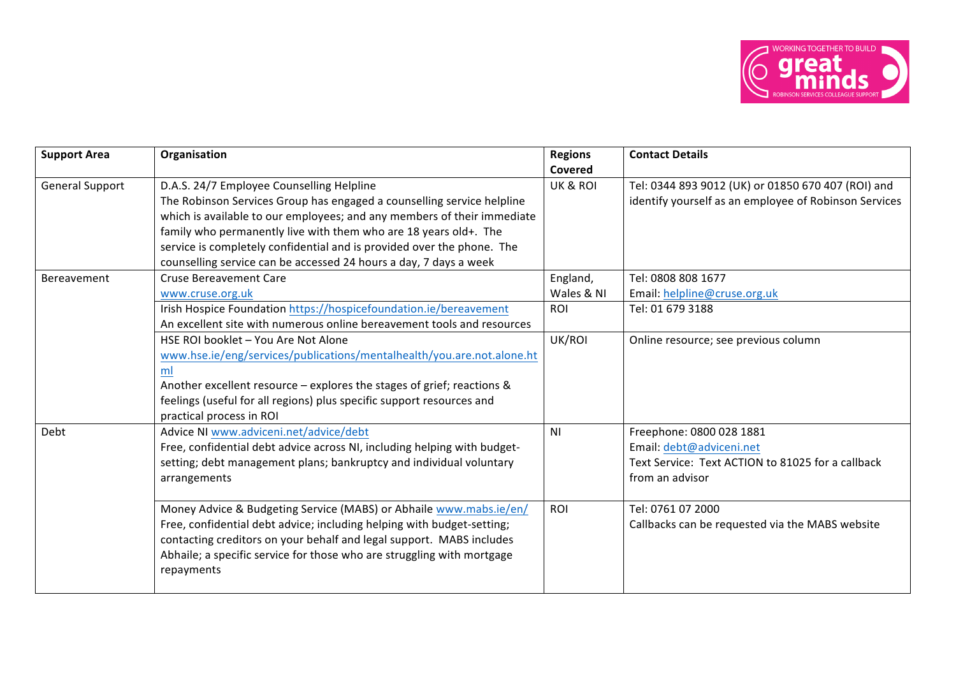

| <b>Support Area</b>    | Organisation                                                                                                                                                                                                                                                                                                                                                                                                      | <b>Regions</b><br>Covered | <b>Contact Details</b>                                                                                                       |
|------------------------|-------------------------------------------------------------------------------------------------------------------------------------------------------------------------------------------------------------------------------------------------------------------------------------------------------------------------------------------------------------------------------------------------------------------|---------------------------|------------------------------------------------------------------------------------------------------------------------------|
| <b>General Support</b> | D.A.S. 24/7 Employee Counselling Helpline<br>The Robinson Services Group has engaged a counselling service helpline<br>which is available to our employees; and any members of their immediate<br>family who permanently live with them who are 18 years old+. The<br>service is completely confidential and is provided over the phone. The<br>counselling service can be accessed 24 hours a day, 7 days a week | UK & ROI                  | Tel: 0344 893 9012 (UK) or 01850 670 407 (ROI) and<br>identify yourself as an employee of Robinson Services                  |
| Bereavement            | <b>Cruse Bereavement Care</b><br>www.cruse.org.uk                                                                                                                                                                                                                                                                                                                                                                 | England,<br>Wales & NI    | Tel: 0808 808 1677<br>Email: helpline@cruse.org.uk                                                                           |
|                        | Irish Hospice Foundation https://hospicefoundation.ie/bereavement<br>An excellent site with numerous online bereavement tools and resources                                                                                                                                                                                                                                                                       | ROI                       | Tel: 01 679 3188                                                                                                             |
|                        | HSE ROI booklet - You Are Not Alone<br>www.hse.ie/eng/services/publications/mentalhealth/you.are.not.alone.ht<br>ml<br>Another excellent resource - explores the stages of grief; reactions &<br>feelings (useful for all regions) plus specific support resources and<br>practical process in ROI                                                                                                                | UK/ROI                    | Online resource; see previous column                                                                                         |
| Debt                   | Advice NI www.adviceni.net/advice/debt<br>Free, confidential debt advice across NI, including helping with budget-<br>setting; debt management plans; bankruptcy and individual voluntary<br>arrangements                                                                                                                                                                                                         | N <sub>1</sub>            | Freephone: 0800 028 1881<br>Email: debt@adviceni.net<br>Text Service: Text ACTION to 81025 for a callback<br>from an advisor |
|                        | Money Advice & Budgeting Service (MABS) or Abhaile www.mabs.ie/en/<br>Free, confidential debt advice; including helping with budget-setting;<br>contacting creditors on your behalf and legal support. MABS includes<br>Abhaile; a specific service for those who are struggling with mortgage<br>repayments                                                                                                      | ROI                       | Tel: 0761 07 2000<br>Callbacks can be requested via the MABS website                                                         |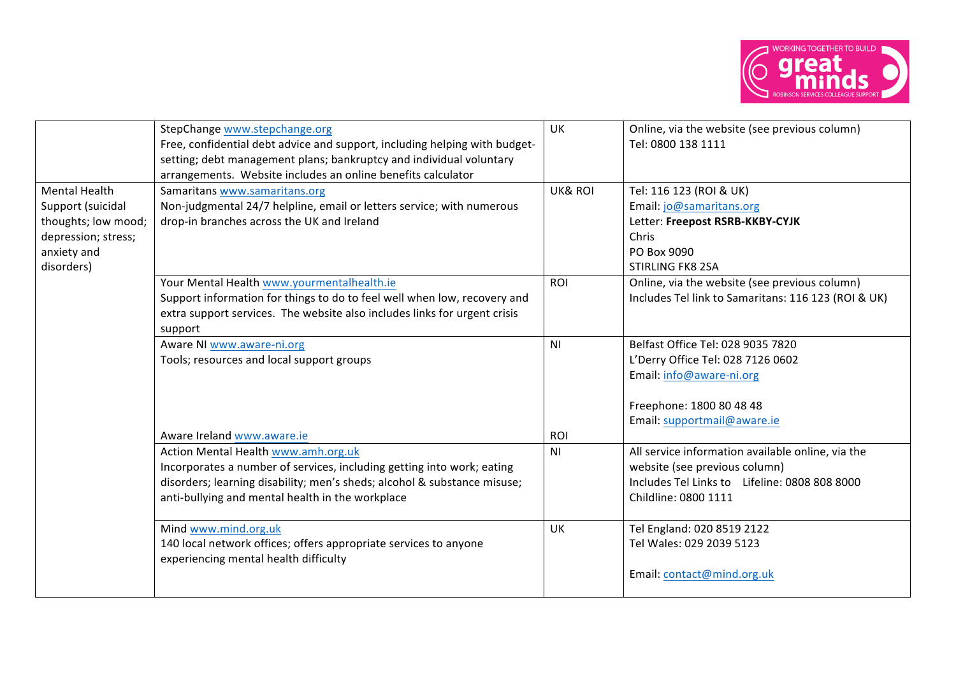

|                                                                                                                      | StepChange www.stepchange.org<br>Free, confidential debt advice and support, including helping with budget-<br>setting; debt management plans; bankruptcy and individual voluntary<br>arrangements. Website includes an online benefits calculator                          | UK                    | Online, via the website (see previous column)<br>Tel: 0800 138 1111                                                                                           |
|----------------------------------------------------------------------------------------------------------------------|-----------------------------------------------------------------------------------------------------------------------------------------------------------------------------------------------------------------------------------------------------------------------------|-----------------------|---------------------------------------------------------------------------------------------------------------------------------------------------------------|
| <b>Mental Health</b><br>Support (suicidal<br>thoughts; low mood;<br>depression; stress;<br>anxiety and<br>disorders) | Samaritans www.samaritans.org<br>Non-judgmental 24/7 helpline, email or letters service; with numerous<br>drop-in branches across the UK and Ireland                                                                                                                        | <b>UK&amp; ROI</b>    | Tel: 116 123 (ROI & UK)<br>Email: jo@samaritans.org<br>Letter: Freepost RSRB-KKBY-CYJK<br>Chris<br>PO Box 9090<br><b>STIRLING FK8 2SA</b>                     |
|                                                                                                                      | Your Mental Health www.yourmentalhealth.ie<br>Support information for things to do to feel well when low, recovery and<br>extra support services. The website also includes links for urgent crisis<br>support                                                              | ROI                   | Online, via the website (see previous column)<br>Includes Tel link to Samaritans: 116 123 (ROI & UK)                                                          |
|                                                                                                                      | Aware NI www.aware-ni.org<br>Tools; resources and local support groups                                                                                                                                                                                                      | N <sub>1</sub>        | Belfast Office Tel: 028 9035 7820<br>L'Derry Office Tel: 028 7126 0602<br>Email: info@aware-ni.org<br>Freephone: 1800 80 48 48<br>Email: supportmail@aware.ie |
|                                                                                                                      | Aware Ireland www.aware.ie<br>Action Mental Health www.amh.org.uk<br>Incorporates a number of services, including getting into work; eating<br>disorders; learning disability; men's sheds; alcohol & substance misuse;<br>anti-bullying and mental health in the workplace | ROI<br>N <sub>1</sub> | All service information available online, via the<br>website (see previous column)<br>Includes Tel Links to Lifeline: 0808 808 8000<br>Childline: 0800 1111   |
|                                                                                                                      | Mind www.mind.org.uk<br>140 local network offices; offers appropriate services to anyone<br>experiencing mental health difficulty                                                                                                                                           | UK                    | Tel England: 020 8519 2122<br>Tel Wales: 029 2039 5123<br>Email: contact@mind.org.uk                                                                          |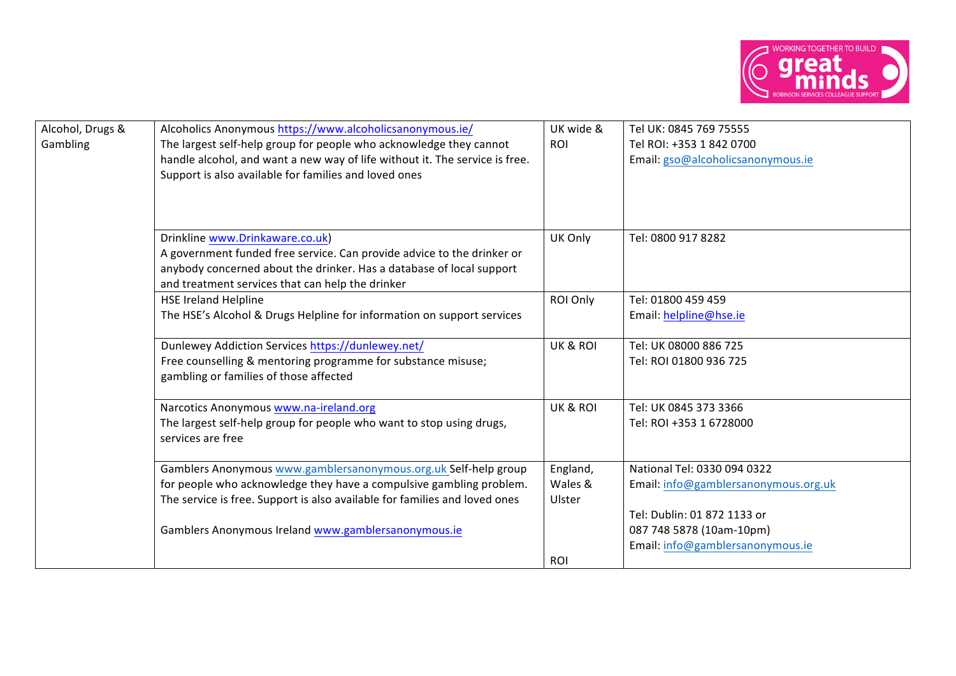

| Alcohol, Drugs &<br>Gambling | Alcoholics Anonymous https://www.alcoholicsanonymous.ie/<br>The largest self-help group for people who acknowledge they cannot<br>handle alcohol, and want a new way of life without it. The service is free.<br>Support is also available for families and loved ones      | UK wide &<br>ROI              | Tel UK: 0845 769 75555<br>Tel ROI: +353 1 842 0700<br>Email: gso@alcoholicsanonymous.ie                                        |
|------------------------------|-----------------------------------------------------------------------------------------------------------------------------------------------------------------------------------------------------------------------------------------------------------------------------|-------------------------------|--------------------------------------------------------------------------------------------------------------------------------|
|                              | Drinkline www.Drinkaware.co.uk)<br>A government funded free service. Can provide advice to the drinker or<br>anybody concerned about the drinker. Has a database of local support<br>and treatment services that can help the drinker                                       | UK Only                       | Tel: 0800 917 8282                                                                                                             |
|                              | <b>HSE Ireland Helpline</b><br>The HSE's Alcohol & Drugs Helpline for information on support services                                                                                                                                                                       | ROI Only                      | Tel: 01800 459 459<br>Email: helpline@hse.ie                                                                                   |
|                              | Dunlewey Addiction Services https://dunlewey.net/<br>Free counselling & mentoring programme for substance misuse;<br>gambling or families of those affected                                                                                                                 | UK & ROI                      | Tel: UK 08000 886 725<br>Tel: ROI 01800 936 725                                                                                |
|                              | Narcotics Anonymous www.na-ireland.org<br>The largest self-help group for people who want to stop using drugs,<br>services are free                                                                                                                                         | UK & ROI                      | Tel: UK 0845 373 3366<br>Tel: ROI +353 1 6728000                                                                               |
|                              | Gamblers Anonymous www.gamblersanonymous.org.uk Self-help group<br>for people who acknowledge they have a compulsive gambling problem.<br>The service is free. Support is also available for families and loved ones<br>Gamblers Anonymous Ireland www.gamblersanonymous.ie | England,<br>Wales &<br>Ulster | National Tel: 0330 094 0322<br>Email: info@gamblersanonymous.org.uk<br>Tel: Dublin: 01 872 1133 or<br>087 748 5878 (10am-10pm) |
|                              |                                                                                                                                                                                                                                                                             | ROI                           | Email: info@gamblersanonymous.ie                                                                                               |